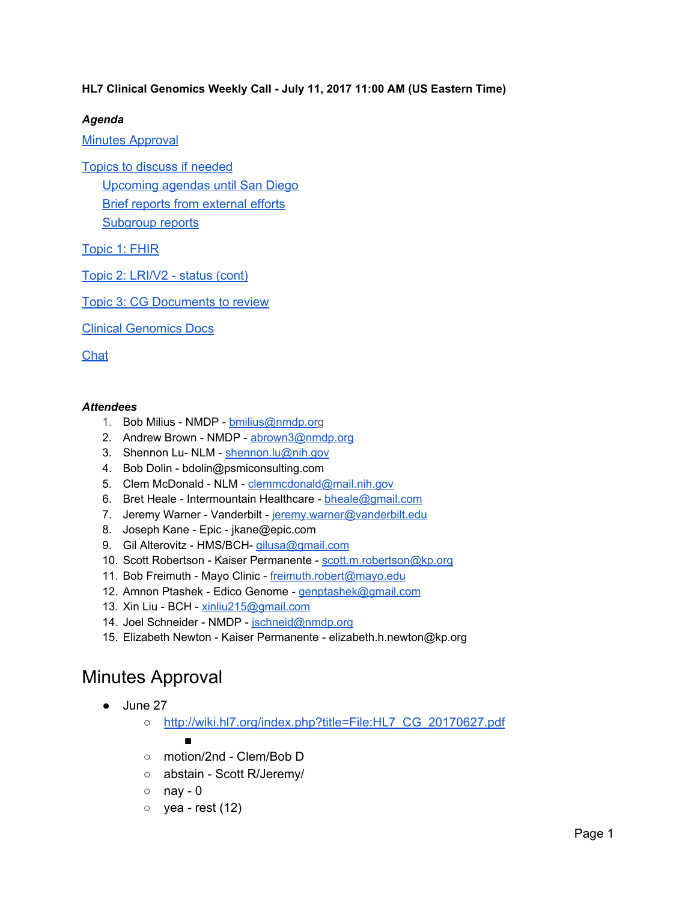### **HL7 Clinical Genomics Weekly Call - July 11, 2017 11:00 AM (US Eastern Time)**

### *Agenda*

Minutes [Approval](#page-0-0)

Topics to discuss if [needed](#page-1-3) [Upcoming](#page-1-0) agendas until San Diego Brief reports from [external](#page-1-2) efforts [Subgroup](#page-1-1) reports

[Topic](#page-2-1) 1: FHIR

Topic 2: [LRI/V2](#page-2-0) - status (cont)

Topic 3: CG [Documents](#page-3-1) to review

Clinical [Genomics](#page-3-0) Docs

[Chat](#page-3-2)

#### *Attendees*

- 1. Bob Milius NMDP [bmilius@nmdp.org](mailto:bmilius@nmdp.org)
- 2. Andrew Brown NMDP [abrown3@nmdp.org](mailto:abrown3@nmdp.org)
- 3. Shennon Lu- NLM [shennon.lu@nih.gov](mailto:shennon.lu@nih.gov)
- 4. Bob Dolin bdolin@psmiconsulting.com
- 5. Clem McDonald NLM [clemmcdonald@mail.nih.gov](mailto:clemmcdonald@mail.nih.gov)
- 6. Bret Heale Intermountain Healthcare [bheale@gmail.com](mailto:bheale@gmail.com)
- 7. Jeremy Warner Vanderbilt [jeremy.warner@vanderbilt.edu](mailto:jeremy.warner@vanderbilt.edu)
- 8. Joseph Kane Epic jkane@epic.com
- 9. Gil Alterovitz HMS/BCH- [gilusa@gmail.com](mailto:gilusa@gmail.com)
- 10. Scott Robertson Kaiser Permanente [scott.m.robertson@kp.org](mailto:scott.m.robertson@kp.org)
- 11. Bob Freimuth Mayo Clinic [freimuth.robert@mayo.edu](mailto:freimuth.robert@mayo.edu)
- 12. Amnon Ptashek Edico Genome [genptashek@gmail.com](mailto:genptashek@gmail.com)
- 13. Xin Liu BCH [xinliu215@gmail.com](mailto:xinliu215@gmail.com)
- 14. Joel Schneider NMDP [jschneid@nmdp.org](mailto:jschneid@nmdp.org)
- 15. Elizabeth Newton Kaiser Permanente elizabeth.h.newton@kp.org

### <span id="page-0-0"></span>Minutes Approval

- June 27
	- o [http://wiki.hl7.org/index.php?title=File:HL7\\_CG\\_20170627.pdf](http://wiki.hl7.org/index.php?title=File:HL7_CG_20170627.pdf)

■

- motion/2nd Clem/Bob D
- abstain Scott R/Jeremy/
- $\circ$  nay 0
- $\circ$  yea rest (12)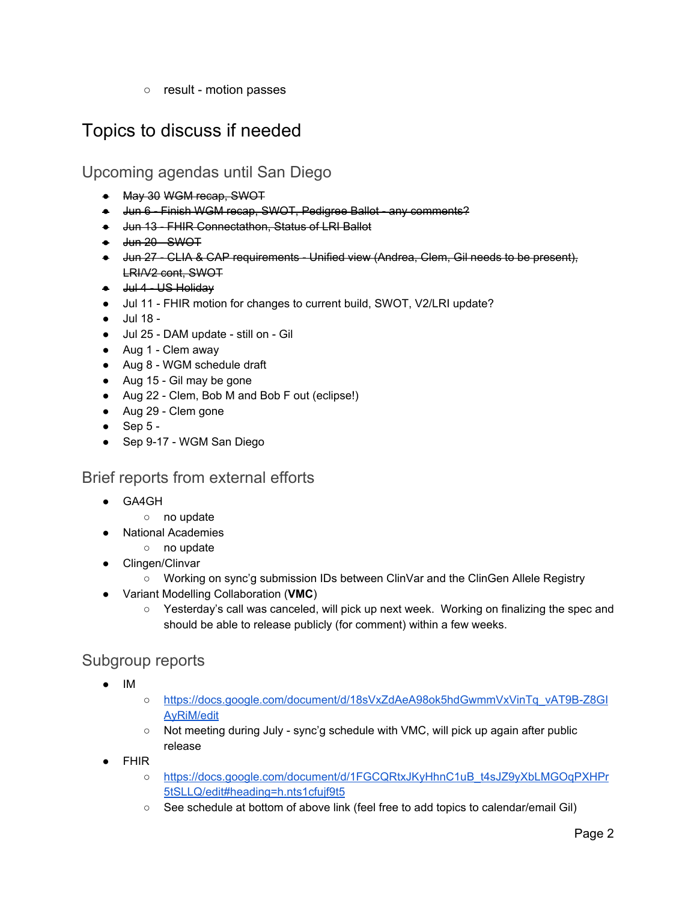○ result - motion passes

## <span id="page-1-3"></span>Topics to discuss if needed

<span id="page-1-0"></span>Upcoming agendas until San Diego

- May 30 WGM recap, SWOT
- Jun 6 Finish WGM recap, SWOT, Pedigree Ballot any comments?
- Jun 13 FHIR Connectathon, Status of LRI Ballot
- <del>Jun 20 SWOT</del>
- Jun 27 CLIA & CAP requirements Unified view (Andrea, Clem, Gil needs to be present), LRI/V2 cont, SWOT
- Jul 4 US Holiday
- Jul 11 FHIR motion for changes to current build, SWOT, V2/LRI update?
- Jul 18 -
- Jul 25 DAM update still on Gil
- Aug 1 Clem away
- Aug 8 WGM schedule draft
- Aug 15 Gil may be gone
- Aug 22 Clem, Bob M and Bob F out (eclipse!)
- Aug 29 Clem gone
- $\bullet$  Sep 5 -
- Sep 9-17 WGM San Diego

### <span id="page-1-2"></span>Brief reports from external efforts

- GA4GH
	- no update
- **National Academies** 
	- no update
- Clingen/Clinvar
	- Working on sync'g submission IDs between ClinVar and the ClinGen Allele Registry
- Variant Modelling Collaboration (**VMC**)
	- Yesterday's call was canceled, will pick up next week. Working on finalizing the spec and should be able to release publicly (for comment) within a few weeks.

### <span id="page-1-1"></span>Subgroup reports

- IM
- [https://docs.google.com/document/d/18sVxZdAeA98ok5hdGwmmVxVinTq\\_vAT9B-Z8GI](https://docs.google.com/document/d/18sVxZdAeA98ok5hdGwmmVxVinTq_vAT9B-Z8GIAyRiM/edit) [AyRiM/edit](https://docs.google.com/document/d/18sVxZdAeA98ok5hdGwmmVxVinTq_vAT9B-Z8GIAyRiM/edit)
- Not meeting during July sync'g schedule with VMC, will pick up again after public release
- FHIR
	- o [https://docs.google.com/document/d/1FGCQRtxJKyHhnC1uB\\_t4sJZ9yXbLMGOqPXHPr](https://docs.google.com/document/d/1FGCQRtxJKyHhnC1uB_t4sJZ9yXbLMGOqPXHPr5tSLLQ/edit#heading=h.nts1cfujf9t5) [5tSLLQ/edit#heading=h.nts1cfujf9t5](https://docs.google.com/document/d/1FGCQRtxJKyHhnC1uB_t4sJZ9yXbLMGOqPXHPr5tSLLQ/edit#heading=h.nts1cfujf9t5)
	- See schedule at bottom of above link (feel free to add topics to calendar/email Gil)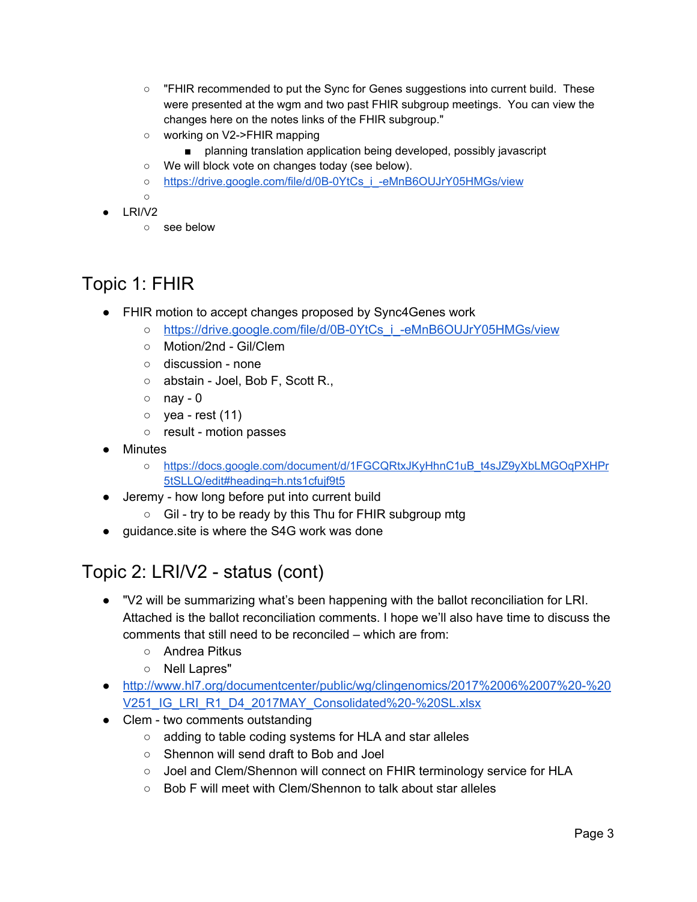- "FHIR recommended to put the Sync for Genes suggestions into current build. These were presented at the wgm and two past FHIR subgroup meetings. You can view the changes here on the notes links of the FHIR subgroup."
- working on V2->FHIR mapping
	- planning translation application being developed, possibly javascript
- We will block vote on changes today (see below).
- o [https://drive.google.com/file/d/0B-0YtCs\\_i\\_-eMnB6OUJrY05HMGs/view](https://drive.google.com/file/d/0B-0YtCs_i_-eMnB6OUJrY05HMGs/view)
- $\circ$
- LRI/V2
	- see below

## <span id="page-2-1"></span>Topic 1: FHIR

- FHIR motion to accept changes proposed by Sync4Genes work
	- [https://drive.google.com/file/d/0B-0YtCs\\_i\\_-eMnB6OUJrY05HMGs/view](https://drive.google.com/file/d/0B-0YtCs_i_-eMnB6OUJrY05HMGs/view)
	- Motion/2nd Gil/Clem
	- discussion none
	- abstain Joel, Bob F, Scott R.,
	- $\circ$  nay 0
	- $\circ$  yea rest (11)
	- result motion passes
- Minutes
	- [https://docs.google.com/document/d/1FGCQRtxJKyHhnC1uB\\_t4sJZ9yXbLMGOqPXHPr](https://docs.google.com/document/d/1FGCQRtxJKyHhnC1uB_t4sJZ9yXbLMGOqPXHPr5tSLLQ/edit#heading=h.nts1cfujf9t5) [5tSLLQ/edit#heading=h.nts1cfujf9t5](https://docs.google.com/document/d/1FGCQRtxJKyHhnC1uB_t4sJZ9yXbLMGOqPXHPr5tSLLQ/edit#heading=h.nts1cfujf9t5)
- Jeremy how long before put into current build
	- Gil try to be ready by this Thu for FHIR subgroup mtg
- guidance site is where the S4G work was done

# <span id="page-2-0"></span>Topic 2: LRI/V2 - status (cont)

- "V2 will be summarizing what's been happening with the ballot reconciliation for LRI. Attached is the ballot reconciliation comments. I hope we'll also have time to discuss the comments that still need to be reconciled – which are from:
	- Andrea Pitkus
	- Nell Lapres"
- [http://www.hl7.org/documentcenter/public/wg/clingenomics/2017%2006%2007%20-%20](http://www.hl7.org/documentcenter/public/wg/clingenomics/2017%2006%2007%20-%20V251_IG_LRI_R1_D4_2017MAY_Consolidated%20-%20SL.xlsx) [V251\\_IG\\_LRI\\_R1\\_D4\\_2017MAY\\_Consolidated%20-%20SL.xlsx](http://www.hl7.org/documentcenter/public/wg/clingenomics/2017%2006%2007%20-%20V251_IG_LRI_R1_D4_2017MAY_Consolidated%20-%20SL.xlsx)
- Clem two comments outstanding
	- adding to table coding systems for HLA and star alleles
	- Shennon will send draft to Bob and Joel
	- Joel and Clem/Shennon will connect on FHIR terminology service for HLA
	- Bob F will meet with Clem/Shennon to talk about star alleles